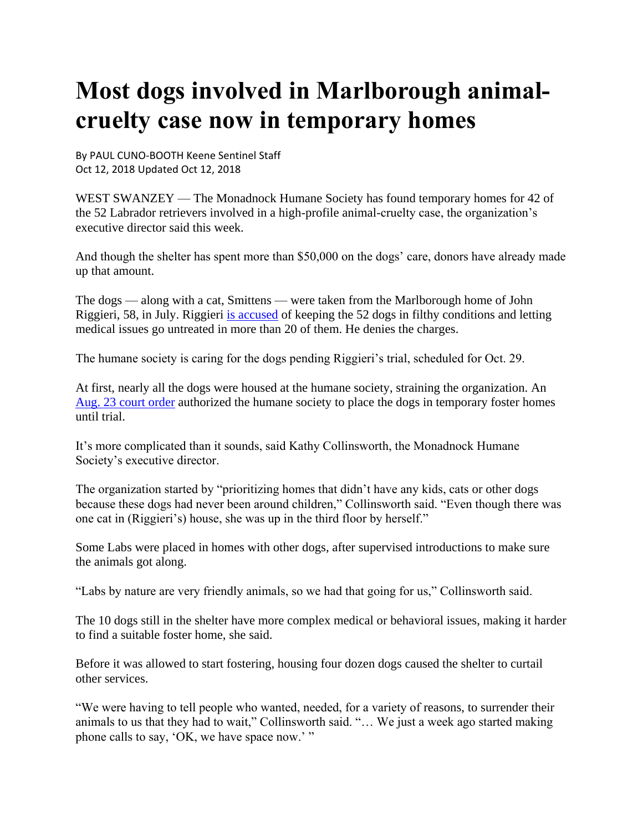## **Most dogs involved in Marlborough animalcruelty case now in temporary homes**

By PAUL CUNO-BOOTH Keene Sentinel Staff Oct 12, 2018 Updated Oct 12, 2018

WEST SWANZEY — The Monadnock Humane Society has found temporary homes for 42 of the 52 Labrador retrievers involved in a high-profile animal-cruelty case, the organization's executive director said this week.

And though the shelter has spent more than \$50,000 on the dogs' care, donors have already made up that amount.

The dogs — along with a cat, Smittens — were taken from the Marlborough home of John Riggieri, 58, in July. Riggieri [is accused](https://www.sentinelsource.com/news/local/marlborough-man-faces-additional-animal-cruelty-charges/article_696a097b-21b2-5db7-8d76-c76360b98f44.html) of keeping the 52 dogs in filthy conditions and letting medical issues go untreated in more than 20 of them. He denies the charges.

The humane society is caring for the dogs pending Riggieri's trial, scheduled for Oct. 29.

At first, nearly all the dogs were housed at the humane society, straining the organization. An [Aug. 23 court order](https://www.sentinelsource.com/news/local/dogs-taken-in-marlborough-man-s-animal-cruelty-case-can/article_aaa9f0a3-7695-5f93-8c7c-82abacf4d944.html) authorized the humane society to place the dogs in temporary foster homes until trial.

It's more complicated than it sounds, said Kathy Collinsworth, the Monadnock Humane Society's executive director.

The organization started by "prioritizing homes that didn't have any kids, cats or other dogs because these dogs had never been around children," Collinsworth said. "Even though there was one cat in (Riggieri's) house, she was up in the third floor by herself."

Some Labs were placed in homes with other dogs, after supervised introductions to make sure the animals got along.

"Labs by nature are very friendly animals, so we had that going for us," Collinsworth said.

The 10 dogs still in the shelter have more complex medical or behavioral issues, making it harder to find a suitable foster home, she said.

Before it was allowed to start fostering, housing four dozen dogs caused the shelter to curtail other services.

"We were having to tell people who wanted, needed, for a variety of reasons, to surrender their animals to us that they had to wait," Collinsworth said. "… We just a week ago started making phone calls to say, 'OK, we have space now.' "